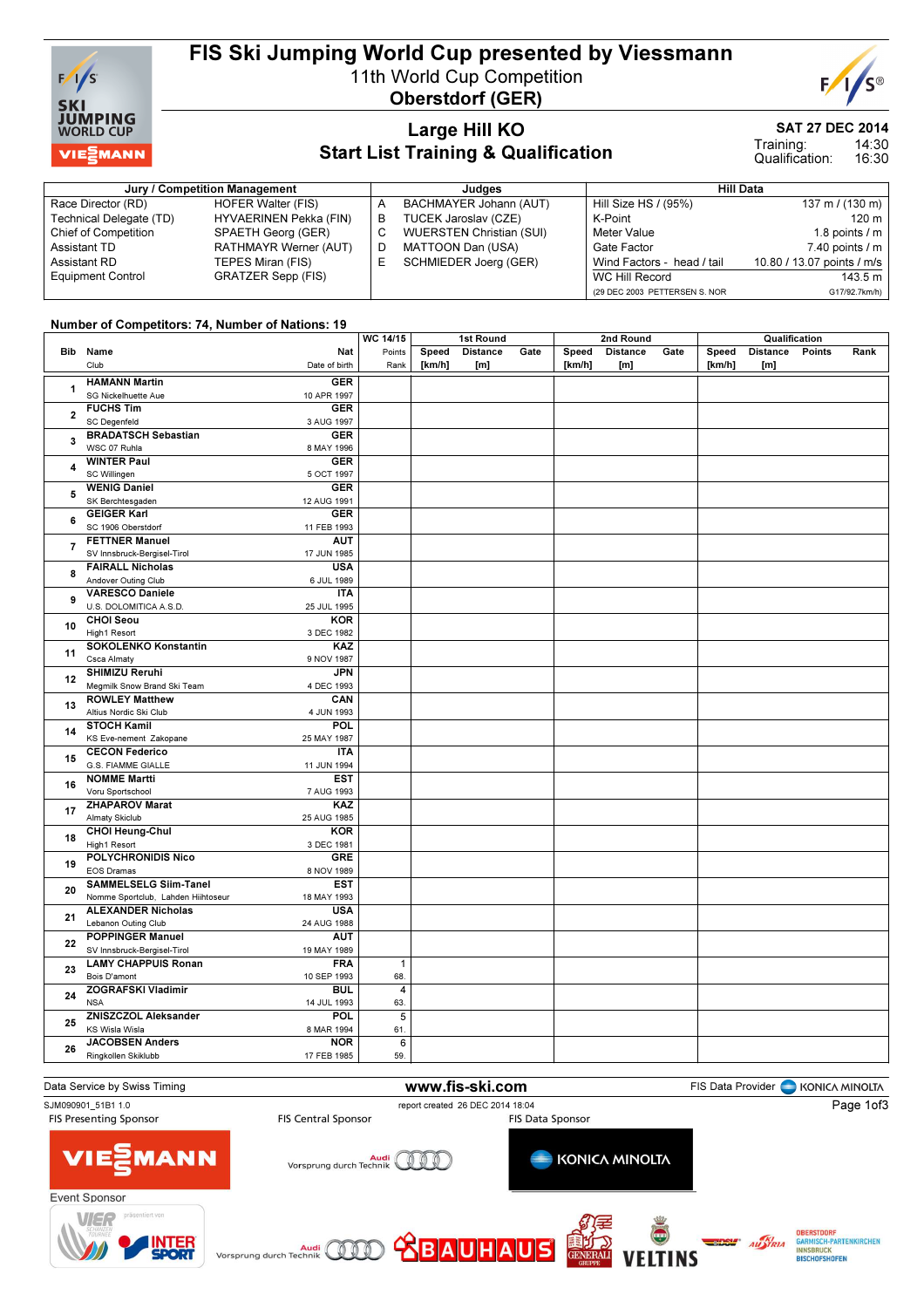

# FIS Ski Jumping World Cup presented by Viessmann

11th World Cup Competition



Oberstdorf (GER)

### Large Hill KO Start List Training & Qualification

SAT 27 DEC 2014

Training:

14:30 16:30 Qualification:

| Jury / Competition Management |                           |   | Judges                          | <b>Hill Data</b>              |                            |  |  |
|-------------------------------|---------------------------|---|---------------------------------|-------------------------------|----------------------------|--|--|
| Race Director (RD)            | HOFER Walter (FIS)        |   | BACHMAYER Johann (AUT)          | Hill Size HS / (95%)          | 137 m / (130 m)            |  |  |
| Technical Delegate (TD)       | HYVAERINEN Pekka (FIN)    | B | TUCEK Jaroslav (CZE)            | K-Point                       | 120 m                      |  |  |
| <b>Chief of Competition</b>   | SPAETH Georg (GER)        |   | <b>WUERSTEN Christian (SUI)</b> | Meter Value                   | 1.8 points $\sqrt{}$ m     |  |  |
| Assistant TD                  | RATHMAYR Werner (AUT)     | D | MATTOON Dan (USA)               | Gate Factor                   | 7.40 points / m            |  |  |
| Assistant RD                  | TEPES Miran (FIS)         |   | SCHMIEDER Joerg (GER)           | Wind Factors - head / tail    | 10.80 / 13.07 points / m/s |  |  |
| <b>Equipment Control</b>      | <b>GRATZER Sepp (FIS)</b> |   |                                 | WC Hill Record                | 143.5 m                    |  |  |
|                               |                           |   |                                 | (29 DEC 2003 PETTERSEN S. NOR | G17/92.7km/h)              |  |  |

#### Number of Competitors: 74, Number of Nations: 19

|                |                                    |               | WC 14/15       | 1st Round |                 |      | 2nd Round |                 |      | Qualification |                 |        |      |
|----------------|------------------------------------|---------------|----------------|-----------|-----------------|------|-----------|-----------------|------|---------------|-----------------|--------|------|
|                | Bib Name                           | Nat           | Points         | Speed     | <b>Distance</b> | Gate | Speed     | <b>Distance</b> | Gate | Speed         | <b>Distance</b> | Points | Rank |
|                | Club                               | Date of birth | Rank           | [km/h]    | [m]             |      | [km/h]    | [m]             |      | [km/h]        | [m]             |        |      |
|                | <b>HAMANN Martin</b>               | <b>GER</b>    |                |           |                 |      |           |                 |      |               |                 |        |      |
| 1              | SG Nickelhuette Aue                | 10 APR 1997   |                |           |                 |      |           |                 |      |               |                 |        |      |
|                | <b>FUCHS Tim</b>                   | <b>GER</b>    |                |           |                 |      |           |                 |      |               |                 |        |      |
| $\overline{2}$ | <b>SC Degenfeld</b>                | 3 AUG 1997    |                |           |                 |      |           |                 |      |               |                 |        |      |
|                |                                    |               |                |           |                 |      |           |                 |      |               |                 |        |      |
| 3              | <b>BRADATSCH Sebastian</b>         | <b>GER</b>    |                |           |                 |      |           |                 |      |               |                 |        |      |
|                | WSC 07 Ruhla                       | 8 MAY 1996    |                |           |                 |      |           |                 |      |               |                 |        |      |
| 4              | <b>WINTER Paul</b>                 | <b>GER</b>    |                |           |                 |      |           |                 |      |               |                 |        |      |
|                | SC Willingen                       | 5 OCT 1997    |                |           |                 |      |           |                 |      |               |                 |        |      |
| 5              | <b>WENIG Daniel</b>                | <b>GER</b>    |                |           |                 |      |           |                 |      |               |                 |        |      |
|                | SK Berchtesgaden                   | 12 AUG 1991   |                |           |                 |      |           |                 |      |               |                 |        |      |
| 6              | <b>GEIGER Karl</b>                 | <b>GER</b>    |                |           |                 |      |           |                 |      |               |                 |        |      |
|                | SC 1906 Oberstdorf                 | 11 FEB 1993   |                |           |                 |      |           |                 |      |               |                 |        |      |
| $\overline{7}$ | <b>FETTNER Manuel</b>              | <b>AUT</b>    |                |           |                 |      |           |                 |      |               |                 |        |      |
|                | SV Innsbruck-Bergisel-Tirol        | 17 JUN 1985   |                |           |                 |      |           |                 |      |               |                 |        |      |
| 8              | <b>FAIRALL Nicholas</b>            | <b>USA</b>    |                |           |                 |      |           |                 |      |               |                 |        |      |
|                | Andover Outing Club                | 6 JUL 1989    |                |           |                 |      |           |                 |      |               |                 |        |      |
|                | <b>VARESCO Daniele</b>             | <b>ITA</b>    |                |           |                 |      |           |                 |      |               |                 |        |      |
| 9              | U.S. DOLOMITICA A.S.D              | 25 JUL 1995   |                |           |                 |      |           |                 |      |               |                 |        |      |
|                | <b>CHOI Seou</b>                   | <b>KOR</b>    |                |           |                 |      |           |                 |      |               |                 |        |      |
| 10             | High1 Resort                       | 3 DEC 1982    |                |           |                 |      |           |                 |      |               |                 |        |      |
|                | <b>SOKOLENKO Konstantin</b>        | KAZ           |                |           |                 |      |           |                 |      |               |                 |        |      |
| 11<br>12<br>13 | Csca Almaty                        | 9 NOV 1987    |                |           |                 |      |           |                 |      |               |                 |        |      |
|                | <b>SHIMIZU Reruhi</b>              | <b>JPN</b>    |                |           |                 |      |           |                 |      |               |                 |        |      |
|                | Megmilk Snow Brand Ski Team        | 4 DEC 1993    |                |           |                 |      |           |                 |      |               |                 |        |      |
|                | <b>ROWLEY Matthew</b>              | CAN           |                |           |                 |      |           |                 |      |               |                 |        |      |
|                | Altius Nordic Ski Club             | 4 JUN 1993    |                |           |                 |      |           |                 |      |               |                 |        |      |
|                | <b>STOCH Kamil</b>                 | <b>POL</b>    |                |           |                 |      |           |                 |      |               |                 |        |      |
| 14             | KS Eve-nement Zakopane             | 25 MAY 1987   |                |           |                 |      |           |                 |      |               |                 |        |      |
|                | <b>CECON Federico</b>              | <b>ITA</b>    |                |           |                 |      |           |                 |      |               |                 |        |      |
| 15             | G.S. FIAMME GIALLE                 | 11 JUN 1994   |                |           |                 |      |           |                 |      |               |                 |        |      |
|                | <b>NOMME Martti</b>                | <b>EST</b>    |                |           |                 |      |           |                 |      |               |                 |        |      |
| 16             | Voru Sportschool                   | 7 AUG 1993    |                |           |                 |      |           |                 |      |               |                 |        |      |
|                | <b>ZHAPAROV Marat</b>              | KAZ           |                |           |                 |      |           |                 |      |               |                 |        |      |
| 17             | Almaty Skiclub                     | 25 AUG 1985   |                |           |                 |      |           |                 |      |               |                 |        |      |
|                | <b>CHOI Heung-Chul</b>             | <b>KOR</b>    |                |           |                 |      |           |                 |      |               |                 |        |      |
| 18             | High1 Resort                       | 3 DEC 1981    |                |           |                 |      |           |                 |      |               |                 |        |      |
|                | POLYCHRONIDIS Nico                 | <b>GRE</b>    |                |           |                 |      |           |                 |      |               |                 |        |      |
| 19             | <b>EOS Dramas</b>                  | 8 NOV 1989    |                |           |                 |      |           |                 |      |               |                 |        |      |
|                | <b>SAMMELSELG Siim-Tanel</b>       | <b>EST</b>    |                |           |                 |      |           |                 |      |               |                 |        |      |
| 20             | Nomme Sportclub, Lahden Hiihtoseur | 18 MAY 1993   |                |           |                 |      |           |                 |      |               |                 |        |      |
|                | <b>ALEXANDER Nicholas</b>          | <b>USA</b>    |                |           |                 |      |           |                 |      |               |                 |        |      |
| 21             | Lebanon Outing Club                | 24 AUG 1988   |                |           |                 |      |           |                 |      |               |                 |        |      |
|                | <b>POPPINGER Manuel</b>            | <b>AUT</b>    |                |           |                 |      |           |                 |      |               |                 |        |      |
| 22             | SV Innsbruck-Bergisel-Tirol        | 19 MAY 1989   |                |           |                 |      |           |                 |      |               |                 |        |      |
|                | <b>LAMY CHAPPUIS Ronan</b>         | <b>FRA</b>    | $\mathbf{1}$   |           |                 |      |           |                 |      |               |                 |        |      |
| 23<br>24       | Bois D'amont                       | 10 SEP 1993   | 68.            |           |                 |      |           |                 |      |               |                 |        |      |
|                | <b>ZOGRAFSKI Vladimir</b>          | <b>BUL</b>    | 4              |           |                 |      |           |                 |      |               |                 |        |      |
|                | <b>NSA</b>                         | 14 JUL 1993   | 63.            |           |                 |      |           |                 |      |               |                 |        |      |
|                | <b>ZNISZCZOL Aleksander</b>        | POL           | $\overline{5}$ |           |                 |      |           |                 |      |               |                 |        |      |
| 25             | KS Wisla Wisla                     | 8 MAR 1994    | 61.            |           |                 |      |           |                 |      |               |                 |        |      |
|                | <b>JACOBSEN Anders</b>             | <b>NOR</b>    | $\overline{6}$ |           |                 |      |           |                 |      |               |                 |        |      |
| 26             | Ringkollen Skiklubb                | 17 FEB 1985   | 59.            |           |                 |      |           |                 |      |               |                 |        |      |
|                |                                    |               |                |           |                 |      |           |                 |      |               |                 |        |      |

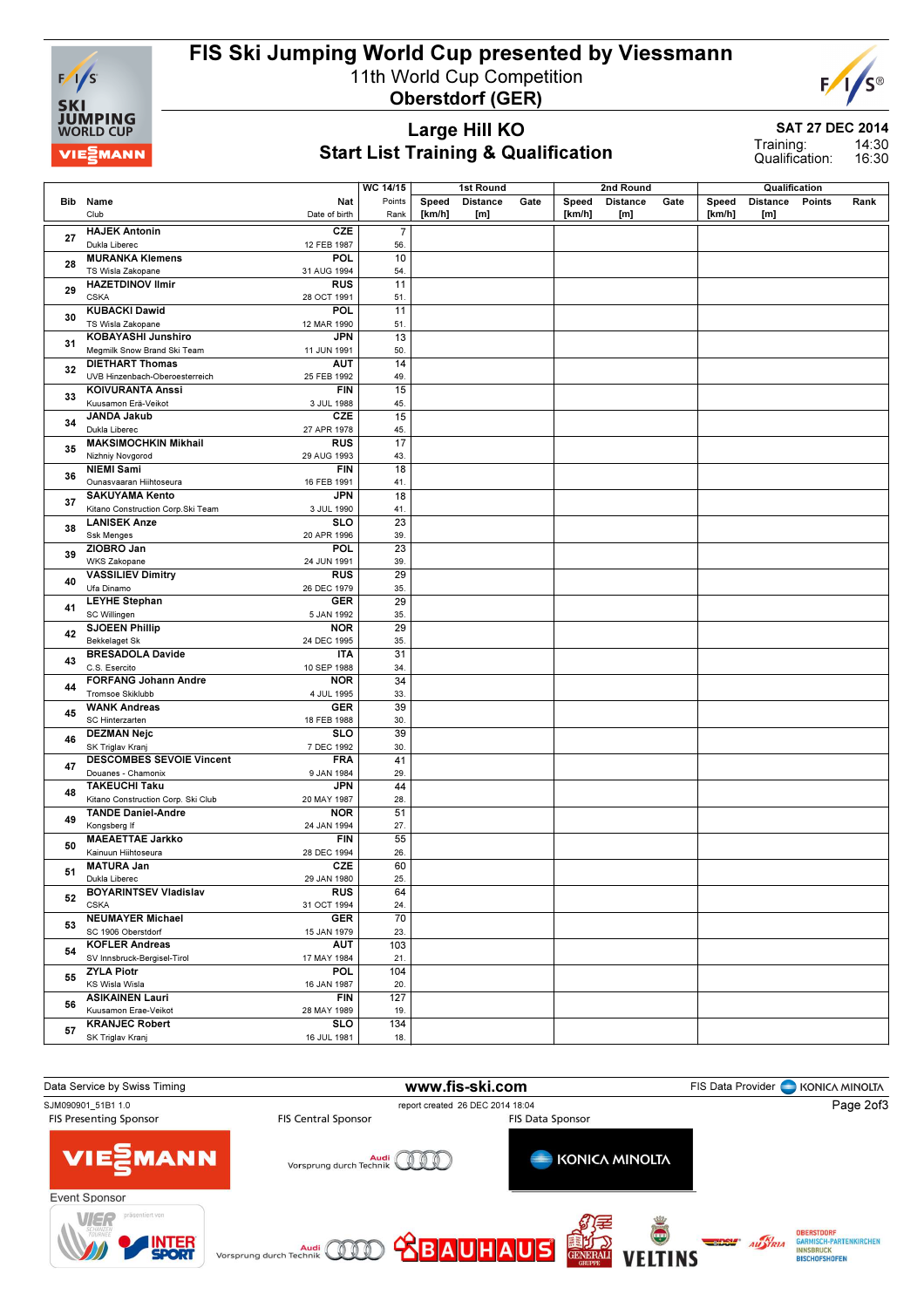

## FIS Ski Jumping World Cup presented by Viessmann

11th World Cup Competition

Oberstdorf (GER)



Large Hill KO Start List Training & Qualification SAT 27 DEC 2014

14:30 16:30 Training: Qualification:

|    |                                                                                   | <b>WC 14/15</b> |        | 1st Round       |      |        | 2nd Round       |      |        | Qualification   |               |      |
|----|-----------------------------------------------------------------------------------|-----------------|--------|-----------------|------|--------|-----------------|------|--------|-----------------|---------------|------|
|    | Nat<br>Bib Name                                                                   | Points          | Speed  | <b>Distance</b> | Gate | Speed  | <b>Distance</b> | Gate | Speed  | <b>Distance</b> | <b>Points</b> | Rank |
|    | Club<br>Date of birth                                                             | Rank            | [km/h] | [m]             |      | [km/h] | [m]             |      | [km/h] | [m]             |               |      |
| 27 | <b>HAJEK Antonin</b><br>CZE                                                       | $\overline{7}$  |        |                 |      |        |                 |      |        |                 |               |      |
|    | Dukla Liberec<br>12 FEB 1987                                                      | 56.             |        |                 |      |        |                 |      |        |                 |               |      |
| 28 | <b>POL</b><br><b>MURANKA Klemens</b><br>TS Wisla Zakopane<br>31 AUG 1994          | 10<br>54.       |        |                 |      |        |                 |      |        |                 |               |      |
|    | <b>HAZETDINOV Ilmir</b><br><b>RUS</b>                                             | 11              |        |                 |      |        |                 |      |        |                 |               |      |
| 29 | <b>CSKA</b><br>28 OCT 1991                                                        | 51.             |        |                 |      |        |                 |      |        |                 |               |      |
| 30 | <b>KUBACKI Dawid</b><br>POL                                                       | 11              |        |                 |      |        |                 |      |        |                 |               |      |
|    | TS Wisla Zakopane<br>12 MAR 1990<br><b>KOBAYASHI Junshiro</b><br><b>JPN</b>       | 51.<br>13       |        |                 |      |        |                 |      |        |                 |               |      |
| 31 | Megmilk Snow Brand Ski Team<br>11 JUN 1991                                        | 50.             |        |                 |      |        |                 |      |        |                 |               |      |
| 32 | <b>DIETHART Thomas</b><br>AUT                                                     | 14              |        |                 |      |        |                 |      |        |                 |               |      |
|    | UVB Hinzenbach-Oberoesterreich<br>25 FEB 1992                                     | 49.             |        |                 |      |        |                 |      |        |                 |               |      |
| 33 | <b>KOIVURANTA Anssi</b><br><b>FIN</b><br>Kuusamon Erä-Veikot<br>3 JUL 1988        | 15<br>45.       |        |                 |      |        |                 |      |        |                 |               |      |
|    | <b>CZE</b><br><b>JANDA Jakub</b>                                                  | 15              |        |                 |      |        |                 |      |        |                 |               |      |
| 34 | Dukla Liberec<br>27 APR 1978                                                      | 45.             |        |                 |      |        |                 |      |        |                 |               |      |
| 35 | <b>MAKSIMOCHKIN Mikhail</b><br><b>RUS</b>                                         | 17              |        |                 |      |        |                 |      |        |                 |               |      |
|    | Nizhniy Novgorod<br>29 AUG 1993                                                   | 43.             |        |                 |      |        |                 |      |        |                 |               |      |
| 36 | <b>NIEMI Sami</b><br><b>FIN</b><br>Ounasvaaran Hiihtoseura<br>16 FEB 1991         | 18<br>41.       |        |                 |      |        |                 |      |        |                 |               |      |
|    | <b>SAKUYAMA Kento</b><br><b>JPN</b>                                               | 18              |        |                 |      |        |                 |      |        |                 |               |      |
| 37 | Kitano Construction Corp.Ski Team<br>3 JUL 1990                                   | 41.             |        |                 |      |        |                 |      |        |                 |               |      |
| 38 | <b>SLO</b><br><b>LANISEK Anze</b>                                                 | $\overline{23}$ |        |                 |      |        |                 |      |        |                 |               |      |
|    | <b>Ssk Menges</b><br>20 APR 1996                                                  | 39.             |        |                 |      |        |                 |      |        |                 |               |      |
| 39 | ZIOBRO Jan<br>POL<br><b>WKS Zakopane</b><br>24 JUN 1991                           | 23<br>39.       |        |                 |      |        |                 |      |        |                 |               |      |
|    | <b>VASSILIEV Dimitry</b><br><b>RUS</b>                                            | 29              |        |                 |      |        |                 |      |        |                 |               |      |
| 40 | Ufa Dinamo<br>26 DEC 1979                                                         | 35.             |        |                 |      |        |                 |      |        |                 |               |      |
| 41 | <b>GER</b><br><b>LEYHE Stephan</b>                                                | 29              |        |                 |      |        |                 |      |        |                 |               |      |
|    | SC Willingen<br>5 JAN 1992                                                        | 35.             |        |                 |      |        |                 |      |        |                 |               |      |
| 42 | <b>SJOEEN Phillip</b><br><b>NOR</b><br><b>Bekkelaget Sk</b><br>24 DEC 1995        | 29<br>35.       |        |                 |      |        |                 |      |        |                 |               |      |
| 43 | <b>BRESADOLA Davide</b><br><b>ITA</b>                                             | 31              |        |                 |      |        |                 |      |        |                 |               |      |
|    | C.S. Esercito<br>10 SEP 1988                                                      | 34.             |        |                 |      |        |                 |      |        |                 |               |      |
| 44 | <b>FORFANG Johann Andre</b><br><b>NOR</b>                                         | 34              |        |                 |      |        |                 |      |        |                 |               |      |
|    | Tromsoe Skiklubb<br>4 JUL 1995<br><b>WANK Andreas</b><br><b>GER</b>               | 33.<br>39       |        |                 |      |        |                 |      |        |                 |               |      |
| 45 | SC Hinterzarten<br>18 FEB 1988                                                    | 30.             |        |                 |      |        |                 |      |        |                 |               |      |
| 46 | <b>SLO</b><br><b>DEZMAN Nejc</b>                                                  | 39              |        |                 |      |        |                 |      |        |                 |               |      |
|    | SK Triglav Kranj<br>7 DEC 1992                                                    | 30.             |        |                 |      |        |                 |      |        |                 |               |      |
| 47 | <b>DESCOMBES SEVOIE Vincent</b><br><b>FRA</b><br>Douanes - Chamonix<br>9 JAN 1984 | 41<br>29.       |        |                 |      |        |                 |      |        |                 |               |      |
|    | <b>TAKEUCHI Taku</b><br><b>JPN</b>                                                | 44              |        |                 |      |        |                 |      |        |                 |               |      |
| 48 | Kitano Construction Corp. Ski Club<br>20 MAY 1987                                 | 28.             |        |                 |      |        |                 |      |        |                 |               |      |
| 49 | <b>TANDE Daniel-Andre</b><br><b>NOR</b>                                           | 51              |        |                 |      |        |                 |      |        |                 |               |      |
|    | Kongsberg If<br>24 JAN 1994                                                       | 27.             |        |                 |      |        |                 |      |        |                 |               |      |
| 50 | <b>MAEAETTAE Jarkko</b><br><b>FIN</b><br>Kainuun Hiihtoseura<br>28 DEC 1994       | 55<br>26.       |        |                 |      |        |                 |      |        |                 |               |      |
|    | <b>CZE</b><br><b>MATURA Jan</b>                                                   | 60              |        |                 |      |        |                 |      |        |                 |               |      |
| 51 | 29 JAN 1980<br>Dukla Liberec                                                      | 25.             |        |                 |      |        |                 |      |        |                 |               |      |
| 52 | <b>BOYARINTSEV Vladislav</b><br><b>RUS</b>                                        | 64              |        |                 |      |        |                 |      |        |                 |               |      |
|    | <b>CSKA</b><br>31 OCT 1994<br><b>GER</b><br><b>NEUMAYER Michael</b>               | 24.<br>70       |        |                 |      |        |                 |      |        |                 |               |      |
| 53 | SC 1906 Oberstdorf<br>15 JAN 1979                                                 | 23.             |        |                 |      |        |                 |      |        |                 |               |      |
| 54 | <b>AUT</b><br><b>KOFLER Andreas</b>                                               | 103             |        |                 |      |        |                 |      |        |                 |               |      |
|    | SV Innsbruck-Bergisel-Tirol<br>17 MAY 1984                                        | 21.             |        |                 |      |        |                 |      |        |                 |               |      |
| 55 | <b>ZYLA Piotr</b><br><b>POL</b>                                                   | 104             |        |                 |      |        |                 |      |        |                 |               |      |
|    | KS Wisla Wisla<br>16 JAN 1987<br><b>ASIKAINEN Lauri</b><br><b>FIN</b>             | 20.<br>127      |        |                 |      |        |                 |      |        |                 |               |      |
| 56 | Kuusamon Erae-Veikot<br>28 MAY 1989                                               | 19.             |        |                 |      |        |                 |      |        |                 |               |      |
| 57 | <b>KRANJEC Robert</b><br><b>SLO</b>                                               | 134             |        |                 |      |        |                 |      |        |                 |               |      |
|    | SK Triglav Kranj<br>16 JUL 1981                                                   | 18.             |        |                 |      |        |                 |      |        |                 |               |      |